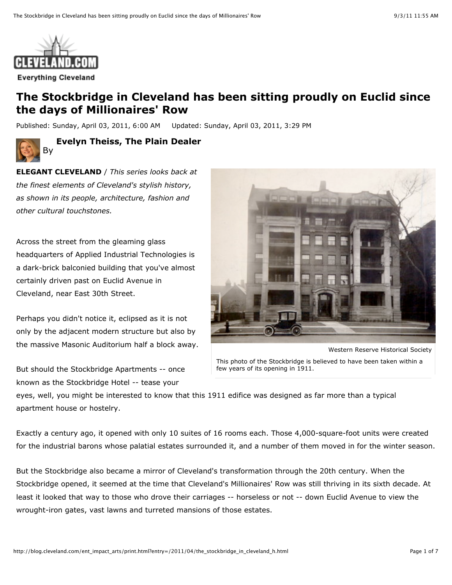

## **The Stockbridge in Cleveland has been sitting proudly on Euclid since the days of Millionaires' Row**

Published: Sunday, April 03, 2011, 6:00 AM Updated: Sunday, April 03, 2011, 3:29 PM



**Evelyn Theiss, The Plain Dealer** 

**ELEGANT CLEVELAND** / *This series looks back at the finest elements of Cleveland's stylish history, as shown in its people, architecture, fashion and other cultural touchstones.*

Across the street from the gleaming glass headquarters of Applied Industrial Technologies is a dark-brick balconied building that you've almost certainly driven past on Euclid Avenue in Cleveland, near East 30th Street.

Perhaps you didn't notice it, eclipsed as it is not only by the adjacent modern structure but also by the massive Masonic Auditorium half a block away.

But should the Stockbridge Apartments -- once known as the Stockbridge Hotel -- tease your



This photo of the Stockbridge is believed to have been taken within a few years of its opening in 1911.

eyes, well, you might be interested to know that this 1911 edifice was designed as far more than a typical apartment house or hostelry.

Exactly a century ago, it opened with only 10 suites of 16 rooms each. Those 4,000-square-foot units were created for the industrial barons whose palatial estates surrounded it, and a number of them moved in for the winter season.

But the Stockbridge also became a mirror of Cleveland's transformation through the 20th century. When the Stockbridge opened, it seemed at the time that Cleveland's Millionaires' Row was still thriving in its sixth decade. At least it looked that way to those who drove their carriages -- horseless or not -- down Euclid Avenue to view the wrought-iron gates, vast lawns and turreted mansions of those estates.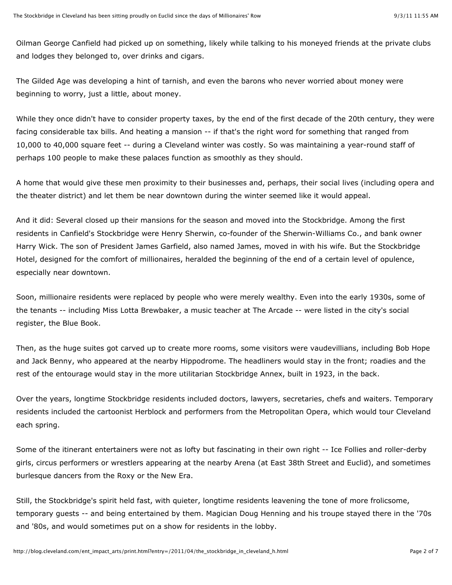Oilman George Canfield had picked up on something, likely while talking to his moneyed friends at the private clubs and lodges they belonged to, over drinks and cigars.

The Gilded Age was developing a hint of tarnish, and even the barons who never worried about money were beginning to worry, just a little, about money.

While they once didn't have to consider property taxes, by the end of the first decade of the 20th century, they were facing considerable tax bills. And heating a mansion -- if that's the right word for something that ranged from 10,000 to 40,000 square feet -- during a Cleveland winter was costly. So was maintaining a year-round staff of perhaps 100 people to make these palaces function as smoothly as they should.

A home that would give these men proximity to their businesses and, perhaps, their social lives (including opera and the theater district) and let them be near downtown during the winter seemed like it would appeal.

And it did: Several closed up their mansions for the season and moved into the Stockbridge. Among the first residents in Canfield's Stockbridge were Henry Sherwin, co-founder of the Sherwin-Williams Co., and bank owner Harry Wick. The son of President James Garfield, also named James, moved in with his wife. But the Stockbridge Hotel, designed for the comfort of millionaires, heralded the beginning of the end of a certain level of opulence, especially near downtown.

Soon, millionaire residents were replaced by people who were merely wealthy. Even into the early 1930s, some of the tenants -- including Miss Lotta Brewbaker, a music teacher at The Arcade -- were listed in the city's social register, the Blue Book.

Then, as the huge suites got carved up to create more rooms, some visitors were vaudevillians, including Bob Hope and Jack Benny, who appeared at the nearby Hippodrome. The headliners would stay in the front; roadies and the rest of the entourage would stay in the more utilitarian Stockbridge Annex, built in 1923, in the back.

Over the years, longtime Stockbridge residents included doctors, lawyers, secretaries, chefs and waiters. Temporary residents included the cartoonist Herblock and performers from the Metropolitan Opera, which would tour Cleveland each spring.

Some of the itinerant entertainers were not as lofty but fascinating in their own right -- Ice Follies and roller-derby girls, circus performers or wrestlers appearing at the nearby Arena (at East 38th Street and Euclid), and sometimes burlesque dancers from the Roxy or the New Era.

Still, the Stockbridge's spirit held fast, with quieter, longtime residents leavening the tone of more frolicsome, temporary guests -- and being entertained by them. Magician Doug Henning and his troupe stayed there in the '70s and '80s, and would sometimes put on a show for residents in the lobby.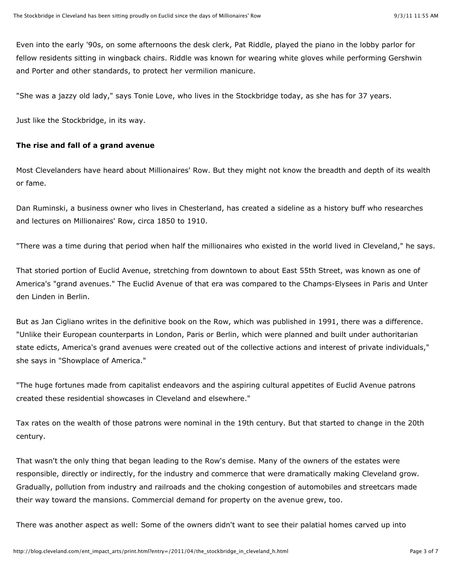Even into the early '90s, on some afternoons the desk clerk, Pat Riddle, played the piano in the lobby parlor for fellow residents sitting in wingback chairs. Riddle was known for wearing white gloves while performing Gershwin and Porter and other standards, to protect her vermilion manicure.

"She was a jazzy old lady," says Tonie Love, who lives in the Stockbridge today, as she has for 37 years.

Just like the Stockbridge, in its way.

## **The rise and fall of a grand avenue**

Most Clevelanders have heard about Millionaires' Row. But they might not know the breadth and depth of its wealth or fame.

Dan Ruminski, a business owner who lives in Chesterland, has created a sideline as a history buff who researches and lectures on Millionaires' Row, circa 1850 to 1910.

"There was a time during that period when half the millionaires who existed in the world lived in Cleveland," he says.

That storied portion of Euclid Avenue, stretching from downtown to about East 55th Street, was known as one of America's "grand avenues." The Euclid Avenue of that era was compared to the Champs-Elysees in Paris and Unter den Linden in Berlin.

But as Jan Cigliano writes in the definitive book on the Row, which was published in 1991, there was a difference. "Unlike their European counterparts in London, Paris or Berlin, which were planned and built under authoritarian state edicts, America's grand avenues were created out of the collective actions and interest of private individuals," she says in "Showplace of America."

"The huge fortunes made from capitalist endeavors and the aspiring cultural appetites of Euclid Avenue patrons created these residential showcases in Cleveland and elsewhere."

Tax rates on the wealth of those patrons were nominal in the 19th century. But that started to change in the 20th century.

That wasn't the only thing that began leading to the Row's demise. Many of the owners of the estates were responsible, directly or indirectly, for the industry and commerce that were dramatically making Cleveland grow. Gradually, pollution from industry and railroads and the choking congestion of automobiles and streetcars made their way toward the mansions. Commercial demand for property on the avenue grew, too.

There was another aspect as well: Some of the owners didn't want to see their palatial homes carved up into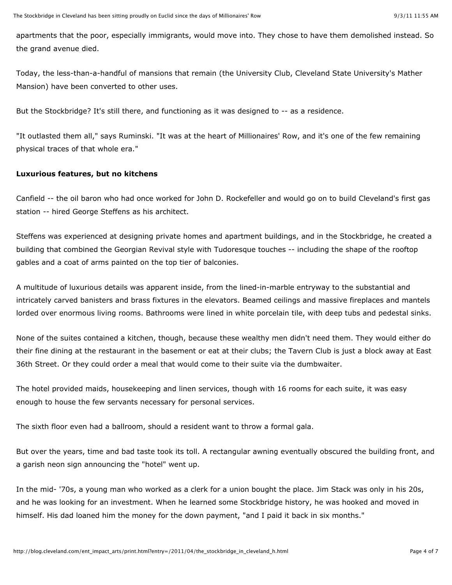apartments that the poor, especially immigrants, would move into. They chose to have them demolished instead. So the grand avenue died.

Today, the less-than-a-handful of mansions that remain (the University Club, Cleveland State University's Mather Mansion) have been converted to other uses.

But the Stockbridge? It's still there, and functioning as it was designed to -- as a residence.

"It outlasted them all," says Ruminski. "It was at the heart of Millionaires' Row, and it's one of the few remaining physical traces of that whole era."

## **Luxurious features, but no kitchens**

Canfield -- the oil baron who had once worked for John D. Rockefeller and would go on to build Cleveland's first gas station -- hired George Steffens as his architect.

Steffens was experienced at designing private homes and apartment buildings, and in the Stockbridge, he created a building that combined the Georgian Revival style with Tudoresque touches -- including the shape of the rooftop gables and a coat of arms painted on the top tier of balconies.

A multitude of luxurious details was apparent inside, from the lined-in-marble entryway to the substantial and intricately carved banisters and brass fixtures in the elevators. Beamed ceilings and massive fireplaces and mantels lorded over enormous living rooms. Bathrooms were lined in white porcelain tile, with deep tubs and pedestal sinks.

None of the suites contained a kitchen, though, because these wealthy men didn't need them. They would either do their fine dining at the restaurant in the basement or eat at their clubs; the Tavern Club is just a block away at East 36th Street. Or they could order a meal that would come to their suite via the dumbwaiter.

The hotel provided maids, housekeeping and linen services, though with 16 rooms for each suite, it was easy enough to house the few servants necessary for personal services.

The sixth floor even had a ballroom, should a resident want to throw a formal gala.

But over the years, time and bad taste took its toll. A rectangular awning eventually obscured the building front, and a garish neon sign announcing the "hotel" went up.

In the mid- '70s, a young man who worked as a clerk for a union bought the place. Jim Stack was only in his 20s, and he was looking for an investment. When he learned some Stockbridge history, he was hooked and moved in himself. His dad loaned him the money for the down payment, "and I paid it back in six months."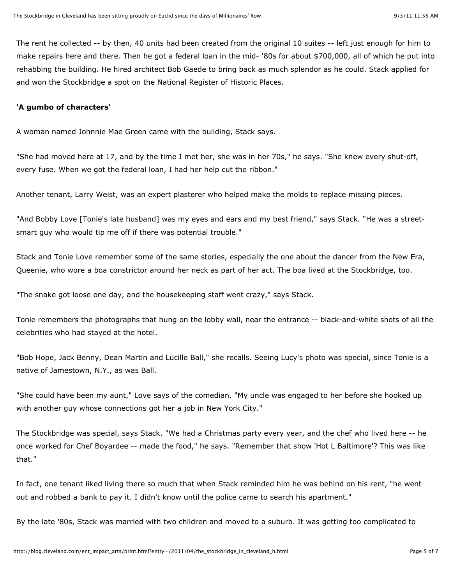The rent he collected -- by then, 40 units had been created from the original 10 suites -- left just enough for him to make repairs here and there. Then he got a federal loan in the mid- '80s for about \$700,000, all of which he put into rehabbing the building. He hired architect Bob Gaede to bring back as much splendor as he could. Stack applied for and won the Stockbridge a spot on the National Register of Historic Places.

## **'A gumbo of characters'**

A woman named Johnnie Mae Green came with the building, Stack says.

"She had moved here at 17, and by the time I met her, she was in her 70s," he says. "She knew every shut-off, every fuse. When we got the federal loan, I had her help cut the ribbon."

Another tenant, Larry Weist, was an expert plasterer who helped make the molds to replace missing pieces.

"And Bobby Love [Tonie's late husband] was my eyes and ears and my best friend," says Stack. "He was a streetsmart guy who would tip me off if there was potential trouble."

Stack and Tonie Love remember some of the same stories, especially the one about the dancer from the New Era, Queenie, who wore a boa constrictor around her neck as part of her act. The boa lived at the Stockbridge, too.

"The snake got loose one day, and the housekeeping staff went crazy," says Stack.

Tonie remembers the photographs that hung on the lobby wall, near the entrance -- black-and-white shots of all the celebrities who had stayed at the hotel.

"Bob Hope, Jack Benny, Dean Martin and Lucille Ball," she recalls. Seeing Lucy's photo was special, since Tonie is a native of Jamestown, N.Y., as was Ball.

"She could have been my aunt," Love says of the comedian. "My uncle was engaged to her before she hooked up with another guy whose connections got her a job in New York City."

The Stockbridge was special, says Stack. "We had a Christmas party every year, and the chef who lived here -- he once worked for Chef Boyardee -- made the food," he says. "Remember that show 'Hot L Baltimore'? This was like that."

In fact, one tenant liked living there so much that when Stack reminded him he was behind on his rent, "he went out and robbed a bank to pay it. I didn't know until the police came to search his apartment."

By the late '80s, Stack was married with two children and moved to a suburb. It was getting too complicated to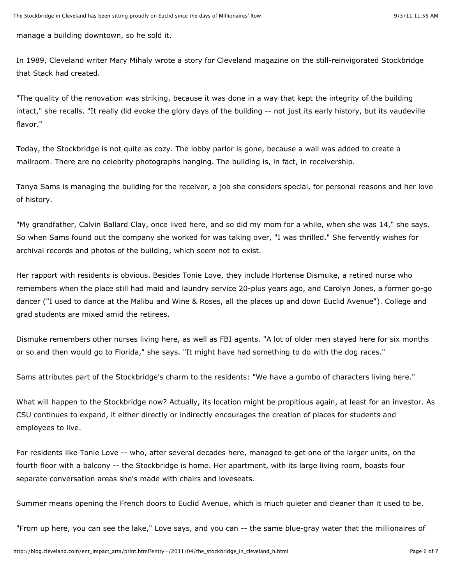manage a building downtown, so he sold it.

In 1989, Cleveland writer Mary Mihaly wrote a story for Cleveland magazine on the still-reinvigorated Stockbridge that Stack had created.

"The quality of the renovation was striking, because it was done in a way that kept the integrity of the building intact," she recalls. "It really did evoke the glory days of the building -- not just its early history, but its vaudeville flavor."

Today, the Stockbridge is not quite as cozy. The lobby parlor is gone, because a wall was added to create a mailroom. There are no celebrity photographs hanging. The building is, in fact, in receivership.

Tanya Sams is managing the building for the receiver, a job she considers special, for personal reasons and her love of history.

"My grandfather, Calvin Ballard Clay, once lived here, and so did my mom for a while, when she was 14," she says. So when Sams found out the company she worked for was taking over, "I was thrilled." She fervently wishes for archival records and photos of the building, which seem not to exist.

Her rapport with residents is obvious. Besides Tonie Love, they include Hortense Dismuke, a retired nurse who remembers when the place still had maid and laundry service 20-plus years ago, and Carolyn Jones, a former go-go dancer ("I used to dance at the Malibu and Wine & Roses, all the places up and down Euclid Avenue"). College and grad students are mixed amid the retirees.

Dismuke remembers other nurses living here, as well as FBI agents. "A lot of older men stayed here for six months or so and then would go to Florida," she says. "It might have had something to do with the dog races."

Sams attributes part of the Stockbridge's charm to the residents: "We have a gumbo of characters living here."

What will happen to the Stockbridge now? Actually, its location might be propitious again, at least for an investor. As CSU continues to expand, it either directly or indirectly encourages the creation of places for students and employees to live.

For residents like Tonie Love -- who, after several decades here, managed to get one of the larger units, on the fourth floor with a balcony -- the Stockbridge is home. Her apartment, with its large living room, boasts four separate conversation areas she's made with chairs and loveseats.

Summer means opening the French doors to Euclid Avenue, which is much quieter and cleaner than it used to be.

"From up here, you can see the lake," Love says, and you can -- the same blue-gray water that the millionaires of